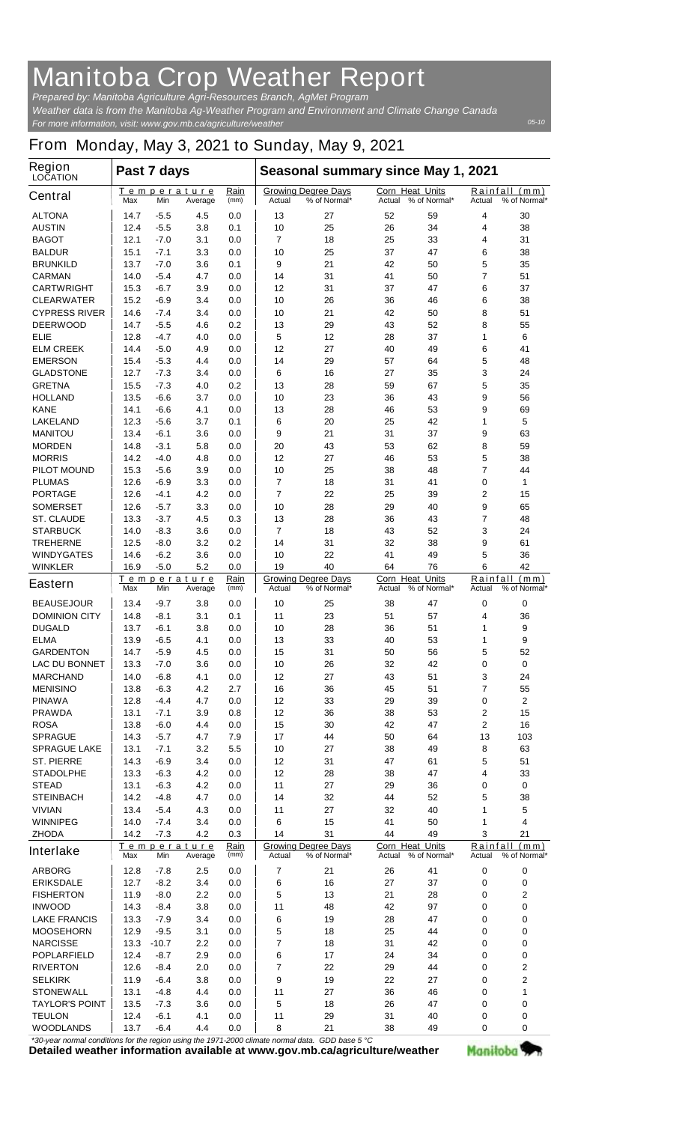## **Manitoba Crop Weather Report**

*For more information, visit: www.gov.mb.ca/agriculture/weather Prepared by: Manitoba Agriculture Agri-Resources Branch, AgMet Program Weather data is from the Manitoba Ag-Weather Program and Environment and Climate Change Canada*

## **From Monday, May 3, 2021 to Sunday, May 9, 2021**

| Region<br><b>LOCATION</b>                 | Past 7 days  |                  |                               |                     | Seasonal summary since May 1, 2021 |                                            |                                  |              |                    |                               |
|-------------------------------------------|--------------|------------------|-------------------------------|---------------------|------------------------------------|--------------------------------------------|----------------------------------|--------------|--------------------|-------------------------------|
| <b>Central</b>                            | Max          | Min              | Temperature<br>Average        | Rain<br>(mm)        | Actual                             | <b>Growing Degree Days</b><br>% of Normal* | <b>Corn Heat Units</b><br>Actual | % of Normal* | Actual             | Rainfall (mm)<br>% of Normal* |
| <b>ALTONA</b>                             | 14.7         | -5.5             | 4.5                           | 0.0                 | 13                                 | 27                                         | 52                               | 59           | 4                  | 30                            |
| <b>AUSTIN</b>                             | 12.4         | $-5.5$           | 3.8                           | 0.1                 | 10                                 | 25                                         | 26                               | 34           | 4                  | 38                            |
| <b>BAGOT</b>                              | 12.1         | $-7.0$           | 3.1                           | 0.0                 | 7                                  | 18                                         | 25                               | 33           | 4                  | 31                            |
| <b>BALDUR</b>                             | 15.1         | $-7.1$           | 3.3                           | 0.0                 | 10                                 | 25                                         | 37                               | 47           | 6                  | 38                            |
| <b>BRUNKILD</b>                           | 13.7         | $-7.0$           | 3.6                           | 0.1                 | 9                                  | 21                                         | 42                               | 50           | 5                  | 35                            |
| <b>CARMAN</b>                             | 14.0         | $-5.4$           | 4.7                           | 0.0                 | 14                                 | 31                                         | 41                               | 50           | 7                  | 51                            |
| <b>CARTWRIGHT</b>                         | 15.3         | $-6.7$           | 3.9                           | 0.0                 | 12                                 | 31                                         | 37                               | 47           | 6                  | 37                            |
| <b>CLEARWATER</b><br><b>CYPRESS RIVER</b> | 15.2<br>14.6 | $-6.9$<br>$-7.4$ | 3.4<br>3.4                    | 0.0<br>0.0          | 10<br>10                           | 26<br>21                                   | 36<br>42                         | 46<br>50     | 6<br>8             | 38<br>51                      |
| <b>DEERWOOD</b>                           | 14.7         | $-5.5$           | 4.6                           | 0.2                 | 13                                 | 29                                         | 43                               | 52           | 8                  | 55                            |
| ELIE                                      | 12.8         | -4.7             | 4.0                           | 0.0                 | 5                                  | 12                                         | 28                               | 37           | 1                  | 6                             |
| <b>ELM CREEK</b>                          | 14.4         | $-5.0$           | 4.9                           | 0.0                 | 12                                 | 27                                         | 40                               | 49           | 6                  | 41                            |
| <b>EMERSON</b>                            | 15.4         | $-5.3$           | 4.4                           | 0.0                 | 14                                 | 29                                         | 57                               | 64           | 5                  | 48                            |
| <b>GLADSTONE</b>                          | 12.7         | $-7.3$           | 3.4                           | 0.0                 | 6                                  | 16                                         | 27                               | 35           | 3                  | 24                            |
| <b>GRETNA</b>                             | 15.5         | -7.3             | 4.0                           | 0.2                 | 13                                 | 28                                         | 59                               | 67           | 5                  | 35                            |
| <b>HOLLAND</b>                            | 13.5         | $-6.6$           | 3.7                           | 0.0                 | 10                                 | 23                                         | 36                               | 43           | 9                  | 56                            |
| <b>KANE</b>                               | 14.1         | $-6.6$           | 4.1                           | 0.0                 | 13                                 | 28                                         | 46                               | 53           | 9                  | 69                            |
| <b>LAKELAND</b>                           | 12.3         | $-5.6$           | 3.7                           | 0.1                 | 6                                  | 20                                         | 25                               | 42           | 1                  | 5                             |
| <b>MANITOU</b>                            | 13.4         | $-6.1$           | 3.6                           | 0.0                 | 9                                  | 21                                         | 31                               | 37           | 9                  | 63                            |
| <b>MORDEN</b>                             | 14.8         | $-3.1$           | 5.8                           | 0.0                 | 20                                 | 43                                         | 53                               | 62           | 8                  | 59                            |
| <b>MORRIS</b>                             | 14.2         | $-4.0$           | 4.8                           | 0.0                 | 12                                 | 27                                         | 46                               | 53           | 5                  | 38                            |
| <b>PILOT MOUND</b>                        | 15.3         | -5.6             | 3.9                           | 0.0                 | 10                                 | 25                                         | 38                               | 48           | 7                  | 44                            |
| <b>PLUMAS</b>                             | 12.6         | -6.9             | 3.3                           | 0.0                 | 7                                  | 18                                         | 31                               | 41           | 0                  | 1                             |
| <b>PORTAGE</b>                            | 12.6         | $-4.1$           | 4.2                           | 0.0                 | 7                                  | 22                                         | 25                               | 39           | 2                  | 15                            |
| <b>SOMERSET</b>                           | 12.6         | $-5.7$           | 3.3                           | 0.0                 | 10                                 | 28                                         | 29                               | 40           | 9                  | 65                            |
| <b>ST. CLAUDE</b>                         | 13.3         | $-3.7$           | 4.5                           | 0.3                 | 13                                 | 28                                         | 36                               | 43           | 7                  | 48                            |
| <b>STARBUCK</b>                           | 14.0         | -8.3             | 3.6                           | 0.0                 | 7                                  | 18                                         | 43                               | 52           | 3                  | 24                            |
| <b>TREHERNE</b>                           | 12.5         | -8.0             | 3.2                           | 0.2                 | 14                                 | 31                                         | 32                               | 38           | 9                  | 61                            |
| <b>WINDYGATES</b>                         | 14.6         | $-6.2$           | 3.6                           | 0.0                 | 10                                 | 22                                         | 41                               | 49           | 5                  | 36                            |
| <b>WINKLER</b>                            | 16.9         | $-5.0$           | 5.2                           | 0.0                 | 19                                 | 40                                         | 64                               | 76           | 6                  | 42                            |
| <b>Eastern</b>                            | Max          | Min              | Temperature<br>Average        | Rain<br>(mm)        | Actual                             | <b>Growing Degree Days</b><br>% of Normal* | <b>Corn Heat Units</b><br>Actual | % of Normal* | Rainfall<br>Actual | (mm)<br>% of Normal*          |
| <b>BEAUSEJOUR</b>                         | 13.4         | -9.7             | 3.8                           | 0.0                 | 10                                 | 25                                         | 38                               | 47           | 0                  | 0                             |
| <b>DOMINION CITY</b>                      | 14.8         | -8.1             | 3.1                           | 0.1                 | 11                                 | 23                                         | 51                               | 57           | 4                  | 36                            |
| <b>DUGALD</b>                             | 13.7         | -6.1             | 3.8                           | 0.0                 | 10                                 | 28                                         | 36                               | 51           | 1                  | 9                             |
| <b>ELMA</b>                               | 13.9         | -6.5             | 4.1                           | 0.0                 | 13                                 | 33                                         | 40                               | 53           | 1                  | 9                             |
| <b>GARDENTON</b>                          | 14.7         | -5.9             | 4.5                           | 0.0                 | 15                                 | 31                                         | 50                               | 56           | 5                  | 52                            |
| <b>LAC DU BONNET</b>                      | 13.3         | -7.0             | 3.6                           | 0.0                 | 10                                 | 26                                         | 32                               | 42           | 0                  | 0                             |
| <b>MARCHAND</b>                           | 14.0         | -6.8<br>$-6.3$   | 4.1<br>4.2                    | 0.0                 | 12<br>16                           | 27<br>36                                   | 43<br>45                         | 51<br>51     | 3                  | 24<br>55                      |
| <b>MENISINO</b><br><b>PINAWA</b>          | 13.8<br>12.8 | -4.4             | 4.7                           | 2.7<br>0.0          | 12                                 | 33                                         | 29                               | 39           | 7<br>0             | $\mathbf{2}$                  |
| <b>PRAWDA</b>                             | 13.1         | $-7.1$           | 3.9                           | 0.8                 | 12                                 | 36                                         | 38                               | 53           | $\mathbf 2$        | 15                            |
| <b>ROSA</b>                               | 13.8         | $-6.0$           | 4.4                           | 0.0                 | 15                                 | 30                                         | 42                               | 47           | 2                  | 16                            |
| <b>SPRAGUE</b>                            | 14.3         | $-5.7$           | 4.7                           | 7.9                 | 17                                 | 44                                         | 50                               | 64           | 13                 | 103                           |
| <b>SPRAGUE LAKE</b>                       | 13.1         | $-7.1$           | 3.2                           | 5.5                 | 10                                 | 27                                         | 38                               | 49           | 8                  | 63                            |
| <b>ST. PIERRE</b>                         | 14.3         | -6.9             | 3.4                           | 0.0                 | 12                                 | 31                                         | 47                               | 61           | 5                  | 51                            |
| <b>STADOLPHE</b>                          | 13.3         | -6.3             | 4.2                           | 0.0                 | 12                                 | 28                                         | 38                               | 47           | 4                  | 33                            |
| <b>STEAD</b>                              | 13.1         | $-6.3$           | 4.2                           | 0.0                 | 11                                 | 27                                         | 29                               | 36           | 0                  | 0                             |
| <b>STEINBACH</b>                          | 14.2         | -4.8             | 4.7                           | 0.0                 | 14                                 | 32                                         | 44                               | 52           | 5                  | 38                            |
| <b>VIVIAN</b>                             | 13.4         | $-5.4$           | 4.3                           | 0.0                 | 11                                 | 27                                         | 32                               | 40           | 1                  | 5                             |
| <b>WINNIPEG</b>                           | 14.0         | $-7.4$           | 3.4                           | 0.0                 | 6                                  | 15                                         | 41                               | 50           | 1                  | 4                             |
| <b>ZHODA</b>                              | 14.2         | $-7.3$           | 4.2                           | 0.3                 | 14                                 | 31                                         | 44                               | 49           | 3                  | 21                            |
| <b>Interlake</b>                          | Max          | Min              | <u>Temperature</u><br>Average | <u>Rain</u><br>(mm) | Actual                             | <b>Growing Degree Days</b><br>% of Normal* | Corn Heat Units<br>Actual        | % of Normal* | Actual             | Rainfall (mm)<br>% of Normal* |
| <b>ARBORG</b>                             | 12.8         | $-7.8$           | 2.5                           | 0.0                 | 7                                  | 21                                         | 26                               | 41           | 0                  | 0                             |
| <b>ERIKSDALE</b>                          | 12.7         | $-8.2$           | 3.4                           | 0.0                 | 6                                  | 16                                         | 27                               | 37           | 0                  | 0                             |
| <b>FISHERTON</b>                          | 11.9         | -8.0             | $2.2\,$                       | 0.0                 | 5                                  | 13                                         | 21                               | 28           | 0                  | 2                             |
| <b>INWOOD</b>                             | 14.3         | -8.4             | 3.8                           | 0.0                 | 11                                 | 48                                         | 42                               | 97           | 0                  | 0                             |
| <b>LAKE FRANCIS</b>                       | 13.3         | $-7.9$           | 3.4                           | 0.0                 | 6                                  | 19                                         | 28                               | 47           | 0                  | 0                             |
| <b>MOOSEHORN</b>                          | 12.9         | $-9.5$           | 3.1                           | 0.0                 | 5                                  | 18                                         | 25                               | 44           | 0                  | 0                             |
| <b>NARCISSE</b>                           | 13.3         | $-10.7$          | $2.2\,$                       | 0.0                 | 7                                  | 18                                         | 31                               | 42           | 0                  | $\bf{0}$                      |
| <b>POPLARFIELD</b>                        | 12.4         | $-8.7$           | 2.9                           | 0.0                 | 6                                  | 17                                         | 24                               | 34           | 0                  | 0                             |
| <b>RIVERTON</b>                           | 12.6         | -8.4             | 2.0                           | 0.0                 | 7                                  | 22                                         | 29                               | 44           | 0                  | 2                             |
| <b>SELKIRK</b>                            | 11.9         | -6.4             | 3.8                           | 0.0                 | 9                                  | 19                                         | 22                               | 27           | 0                  | 2                             |
| <b>STONEWALL</b>                          | 13.1         | -4.8             | 4.4                           | 0.0                 | 11                                 | 27                                         | 36                               | 46           | 0                  | 1                             |
| <b>TAYLOR'S POINT</b>                     | 13.5         | $-7.3$           | 3.6                           | 0.0                 | 5                                  | 18                                         | 26                               | 47           | 0                  | 0                             |
| <b>TEULON</b>                             | 12.4         | $-6.1$           | 4.1                           | 0.0                 | 11                                 | 29                                         | 31                               | 40           | 0                  | 0                             |
| <b>WOODLANDS</b>                          | 13.7         | -6.4             | 4.4                           | 0.0                 | 8                                  | 21                                         | 38                               | 49           | 0                  | 0                             |

*\*30-year normal conditions for the region using the 1971-2000 climate normal data. GDD base 5 °C*<br>Detailed weather information available at www.gov.mb.ca/agriculture/weather

Manitoba<sup>y</sup>